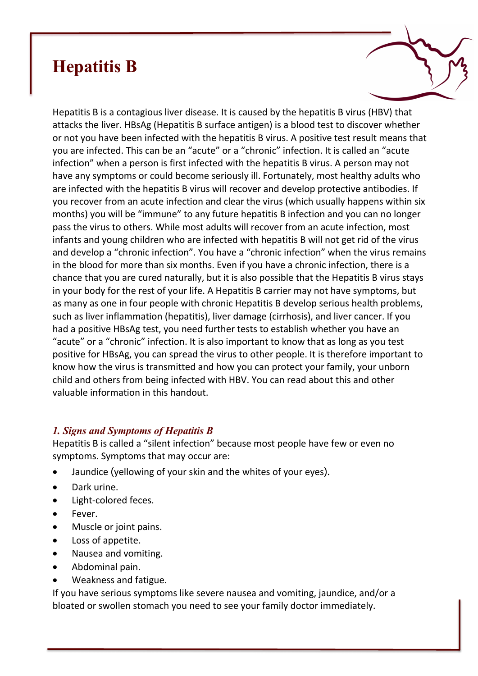# **Hepatitis B**

Hepatitis B is a contagious liver disease. It is caused by the hepatitis B virus (HBV) that attacks the liver. HBsAg (Hepatitis B surface antigen) is a blood test to discover whether or not you have been infected with the hepatitis B virus. A positive test result means that you are infected. This can be an "acute" or a "chronic" infection. It is called an "acute infection" when a person is first infected with the hepatitis B virus. A person may not have any symptoms or could become seriously ill. Fortunately, most healthy adults who are infected with the hepatitis B virus will recover and develop protective antibodies. If you recover from an acute infection and clear the virus (which usually happens within six months) you will be "immune" to any future hepatitis B infection and you can no longer pass the virus to others. While most adults will recover from an acute infection, most infants and young children who are infected with hepatitis B will not get rid of the virus and develop a "chronic infection". You have a "chronic infection" when the virus remains in the blood for more than six months. Even if you have a chronic infection, there is a chance that you are cured naturally, but it is also possible that the Hepatitis B virus stays in your body for the rest of your life. A Hepatitis B carrier may not have symptoms, but as many as one in four people with chronic Hepatitis B develop serious health problems, such as liver inflammation (hepatitis), liver damage (cirrhosis), and liver cancer. If you had a positive HBsAg test, you need further tests to establish whether you have an "acute" or a "chronic" infection. It is also important to know that as long as you test positive for HBsAg, you can spread the virus to other people. It is therefore important to know how the virus is transmitted and how you can protect your family, your unborn child and others from being infected with HBV. You can read about this and other valuable information in this handout.

## *1. Signs and Symptoms of Hepatitis B*

Hepatitis B is called a "silent infection" because most people have few or even no symptoms. Symptoms that may occur are:

- Jaundice (yellowing of your skin and the whites of your eyes).
- Dark urine.
- Light-colored feces.
- Fever.
- Muscle or joint pains.
- Loss of appetite.
- Nausea and vomiting.
- Abdominal pain.
- Weakness and fatigue.

If you have serious symptoms like severe nausea and vomiting, jaundice, and/or a bloated or swollen stomach you need to see your family doctor immediately.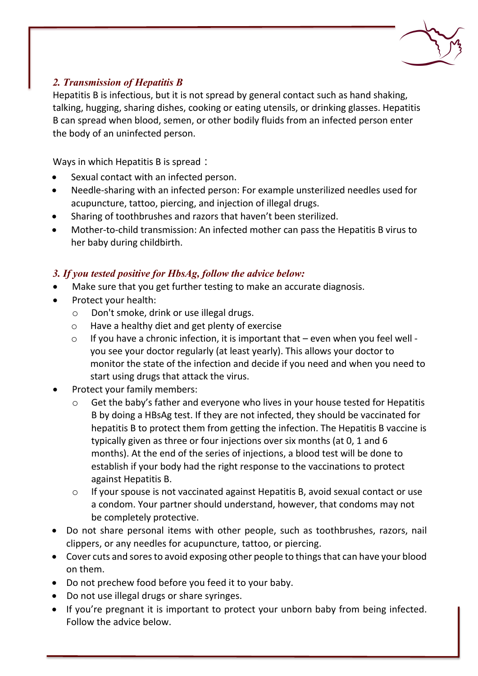

## *2. Transmission of Hepatitis B*

Hepatitis B is infectious, but it is not spread by general contact such as hand shaking, talking, hugging, sharing dishes, cooking or eating utensils, or drinking glasses. Hepatitis B can spread when blood, semen, or other bodily fluids from an infected person enter the body of an uninfected person.

Ways in which Hepatitis B is spread:

- Sexual contact with an infected person.
- Needle-sharing with an infected person: For example unsterilized needles used for acupuncture, tattoo, piercing, and injection of illegal drugs.
- Sharing of toothbrushes and razors that haven't been sterilized.
- Mother-to-child transmission: An infected mother can pass the Hepatitis B virus to her baby during childbirth.

## *3. If you tested positive for HbsAg, follow the advice below:*

- Make sure that you get further testing to make an accurate diagnosis.
- Protect your health:
	- o Don't smoke, drink or use illegal drugs.
	- o Have a healthy diet and get plenty of exercise
	- $\circ$  If you have a chronic infection, it is important that even when you feel well you see your doctor regularly (at least yearly). This allows your doctor to monitor the state of the infection and decide if you need and when you need to start using drugs that attack the virus.
- Protect your family members:
	- o Get the baby's father and everyone who lives in your house tested for Hepatitis B by doing a HBsAg test. If they are not infected, they should be vaccinated for hepatitis B to protect them from getting the infection. The Hepatitis B vaccine is typically given as three or four injections over six months (at 0, 1 and 6 months). At the end of the series of injections, a blood test will be done to establish if your body had the right response to the vaccinations to protect against Hepatitis B.
	- o If your spouse is not vaccinated against Hepatitis B, avoid sexual contact or use a condom. Your partner should understand, however, that condoms may not be completely protective.
- Do not share personal items with other people, such as toothbrushes, razors, nail clippers, or any needles for acupuncture, tattoo, or piercing.
- Cover cuts and sores to avoid exposing other people to things that can have your blood on them.
- Do not prechew food before you feed it to your baby.
- Do not use illegal drugs or share syringes.
- If you're pregnant it is important to protect your unborn baby from being infected. Follow the advice below.